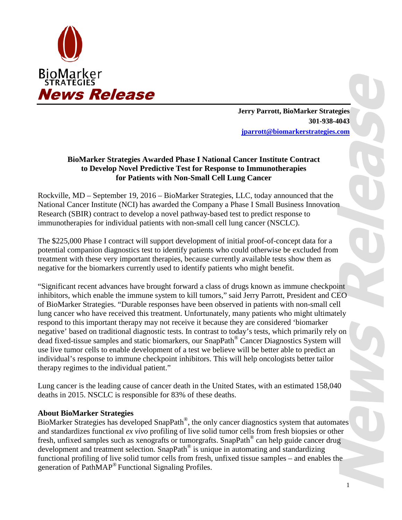

**Jerry Parrott, BioMarker Strategies 301-938-4043 jparrott@biomarkerstrategies.com**

## **BioMarker Strategies Awarded Phase I National Cancer Institute Contract to Develop Novel Predictive Test for Response to Immunotherapies for Patients with Non-Small Cell Lung Cancer**

Rockville, MD – September 19, 2016 – BioMarker Strategies, LLC, today announced that the National Cancer Institute (NCI) has awarded the Company a Phase I Small Business Innovation Research (SBIR) contract to develop a novel pathway-based test to predict response to immunotherapies for individual patients with non-small cell lung cancer (NSCLC).

The \$225,000 Phase I contract will support development of initial proof-of-concept data for a potential companion diagnostics test to identify patients who could otherwise be excluded from treatment with these very important therapies, because currently available tests show them as negative for the biomarkers currently used to identify patients who might benefit.

"Significant recent advances have brought forward a class of drugs known as immune checkpoint inhibitors, which enable the immune system to kill tumors," said Jerry Parrott, President and CEO of BioMarker Strategies. "Durable responses have been observed in patients with non-small cell lung cancer who have received this treatment. Unfortunately, many patients who might ultimately respond to this important therapy may not receive it because they are considered 'biomarker negative' based on traditional diagnostic tests. In contrast to today's tests, which primarily rely on dead fixed-tissue samples and static biomarkers, our SnapPath® Cancer Diagnostics System will use live tumor cells to enable development of a test we believe will be better able to predict an individual's response to immune checkpoint inhibitors. This will help oncologists better tailor therapy regimes to the individual patient."

Lung cancer is the leading cause of cancer death in the United States, with an estimated 158,040 deaths in 2015. NSCLC is responsible for 83% of these deaths.

## **About BioMarker Strategies**

BioMarker Strategies has developed SnapPath®, the only cancer diagnostics system that automates and standardizes functional *ex vivo* profiling of live solid tumor cells from fresh biopsies or other fresh, unfixed samples such as xenografts or tumorgrafts. SnapPath® can help guide cancer drug development and treatment selection. SnapPath® is unique in automating and standardizing functional profiling of live solid tumor cells from fresh, unfixed tissue samples – and enables the generation of PathMAP® Functional Signaling Profiles.